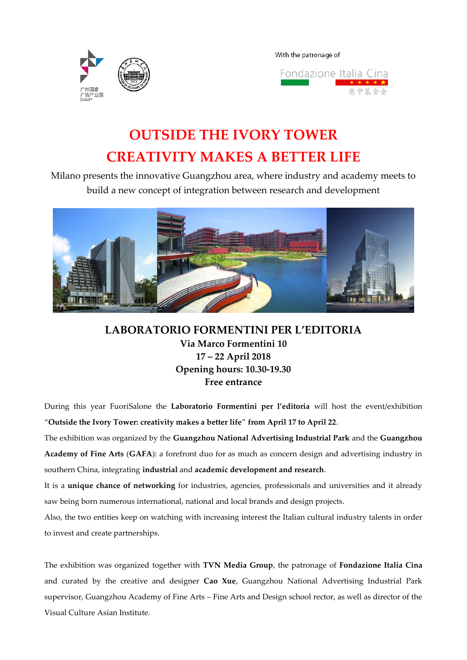

With the patronage of



# **OUTSIDE THE IVORY TOWER CREATIVITY MAKES A BETTER LIFE**

Milano presents the innovative Guangzhou area, where industry and academy meets to build a new concept of integration between research and development



**LABORATORIO FORMENTINI PER L'EDITORIA Via Marco Formentini 10 17 – 22 April 2018 Opening hours: 10.30-19.30 Free entrance**

During this year FuoriSalone the **Laboratorio Formentini per l'editoria** will host the event/exhibition "**Outside the Ivory Tower: creativity makes a better life**" **from April 17 to April 22**.

The exhibition was organized by the **Guangzhou National Advertising Industrial Park** and the **Guangzhou Academy of Fine Arts** (**GAFA**): a forefront duo for as much as concern design and advertising industry in southern China, integrating **industrial** and **academic development and research**.

It is a **unique chance of networking** for industries, agencies, professionals and universities and it already saw being born numerous international, national and local brands and design projects.

Also, the two entities keep on watching with increasing interest the Italian cultural industry talents in order to invest and create partnerships.

The exhibition was organized together with **TVN Media Group**, the patronage of **Fondazione Italia Cina** and curated by the creative and designer **Cao Xue**, Guangzhou National Advertising Industrial Park supervisor, Guangzhou Academy of Fine Arts – Fine Arts and Design school rector, as well as director of the Visual Culture Asian Institute.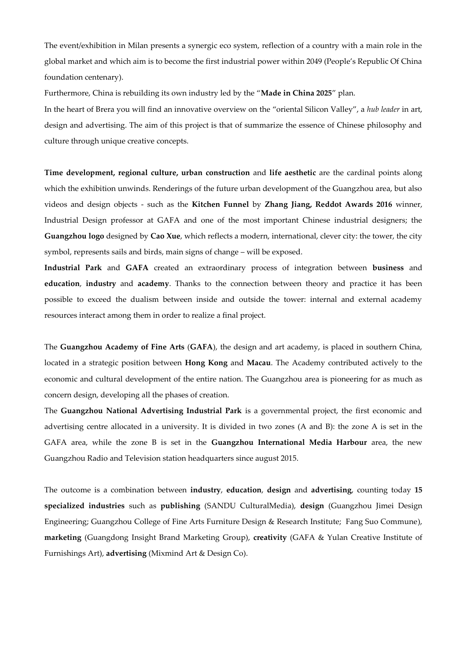The event/exhibition in Milan presents a synergic eco system, reflection of a country with a main role in the global market and which aim is to become the first industrial power within 2049 (People's Republic Of China foundation centenary).

Furthermore, China is rebuilding its own industry led by the "**Made in China 2025**" plan.

In the heart of Brera you will find an innovative overview on the "oriental Silicon Valley", a *hub leader* in art, design and advertising. The aim of this project is that of summarize the essence of Chinese philosophy and culture through unique creative concepts.

**Time development, regional culture, urban construction** and **life aesthetic** are the cardinal points along which the exhibition unwinds. Renderings of the future urban development of the Guangzhou area, but also videos and design objects - such as the **Kitchen Funnel** by **Zhang Jiang, Reddot Awards 2016** winner, Industrial Design professor at GAFA and one of the most important Chinese industrial designers; the **Guangzhou logo** designed by **Cao Xue**, which reflects a modern, international, clever city: the tower, the city symbol, represents sails and birds, main signs of change – will be exposed.

**Industrial Park** and **GAFA** created an extraordinary process of integration between **business** and **education**, **industry** and **academy**. Thanks to the connection between theory and practice it has been possible to exceed the dualism between inside and outside the tower: internal and external academy resources interact among them in order to realize a final project.

The **Guangzhou Academy of Fine Arts** (**GAFA**), the design and art academy, is placed in southern China, located in a strategic position between **Hong Kong** and **Macau**. The Academy contributed actively to the economic and cultural development of the entire nation. The Guangzhou area is pioneering for as much as concern design, developing all the phases of creation.

The **Guangzhou National Advertising Industrial Park** is a governmental project, the first economic and advertising centre allocated in a university. It is divided in two zones (A and B): the zone A is set in the GAFA area, while the zone B is set in the **Guangzhou International Media Harbour** area, the new Guangzhou Radio and Television station headquarters since august 2015.

The outcome is a combination between **industry**, **education**, **design** and **advertising**, counting today **15 specialized industries** such as **publishing** (SANDU CulturalMedia), **design** (Guangzhou Jimei Design Engineering; Guangzhou College of Fine Arts Furniture Design & Research Institute; Fang Suo Commune), **marketing** (Guangdong Insight Brand Marketing Group), **creativity** (GAFA & Yulan Creative Institute of Furnishings Art), **advertising** (Mixmind Art & Design Co).